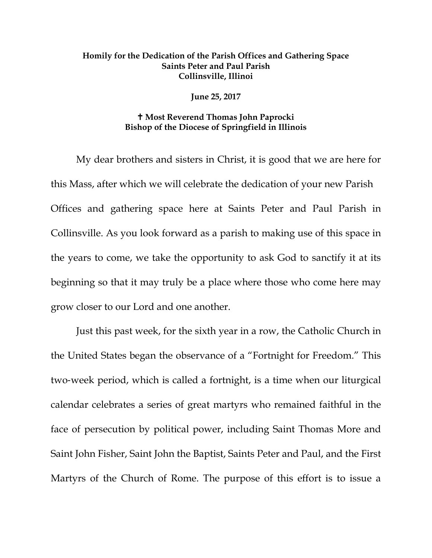## **Homily for the Dedication of the Parish Offices and Gathering Space Saints Peter and Paul Parish Collinsville, Illinoi**

## **June 25, 2017**

## **Most Reverend Thomas John Paprocki Bishop of the Diocese of Springfield in Illinois**

My dear brothers and sisters in Christ, it is good that we are here for this Mass, after which we will celebrate the dedication of your new Parish Offices and gathering space here at Saints Peter and Paul Parish in Collinsville. As you look forward as a parish to making use of this space in the years to come, we take the opportunity to ask God to sanctify it at its beginning so that it may truly be a place where those who come here may grow closer to our Lord and one another.

Just this past week, for the sixth year in a row, the Catholic Church in the United States began the observance of a "Fortnight for Freedom." This two‐week period, which is called a fortnight, is a time when our liturgical calendar celebrates a series of great martyrs who remained faithful in the face of persecution by political power, including Saint Thomas More and Saint John Fisher, Saint John the Baptist, Saints Peter and Paul, and the First Martyrs of the Church of Rome. The purpose of this effort is to issue a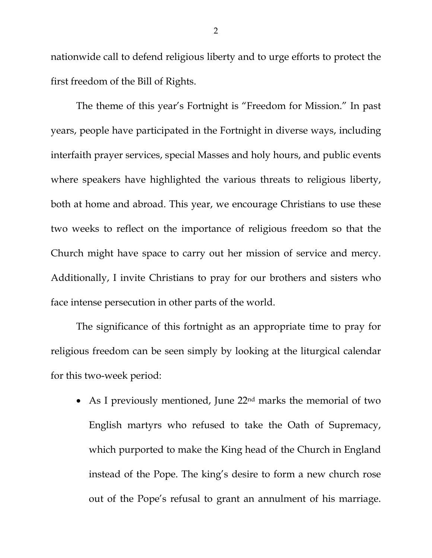nationwide call to defend religious liberty and to urge efforts to protect the first freedom of the Bill of Rights.

The theme of this year's Fortnight is "Freedom for Mission." In past years, people have participated in the Fortnight in diverse ways, including interfaith prayer services, special Masses and holy hours, and public events where speakers have highlighted the various threats to religious liberty, both at home and abroad. This year, we encourage Christians to use these two weeks to reflect on the importance of religious freedom so that the Church might have space to carry out her mission of service and mercy. Additionally, I invite Christians to pray for our brothers and sisters who face intense persecution in other parts of the world.

The significance of this fortnight as an appropriate time to pray for religious freedom can be seen simply by looking at the liturgical calendar for this two-week period:

• As I previously mentioned, June  $22<sup>nd</sup>$  marks the memorial of two English martyrs who refused to take the Oath of Supremacy, which purported to make the King head of the Church in England instead of the Pope. The king's desire to form a new church rose out of the Pope's refusal to grant an annulment of his marriage.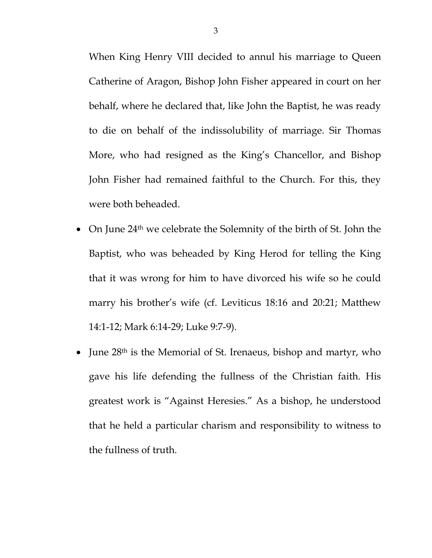When King Henry VIII decided to annul his marriage to Queen Catherine of Aragon, Bishop John Fisher appeared in court on her behalf, where he declared that, like John the Baptist, he was ready to die on behalf of the indissolubility of marriage. Sir Thomas More, who had resigned as the King's Chancellor, and Bishop John Fisher had remained faithful to the Church. For this, they were both beheaded.

- On June 24<sup>th</sup> we celebrate the Solemnity of the birth of St. John the Baptist, who was beheaded by King Herod for telling the King that it was wrong for him to have divorced his wife so he could marry his brother's wife (cf. Leviticus 18:16 and 20:21; Matthew 14:1-12; Mark 6:14-29; Luke 9:7-9).
- June 28<sup>th</sup> is the Memorial of St. Irenaeus, bishop and martyr, who gave his life defending the fullness of the Christian faith. His greatest work is "Against Heresies." As a bishop, he understood that he held a particular charism and responsibility to witness to the fullness of truth.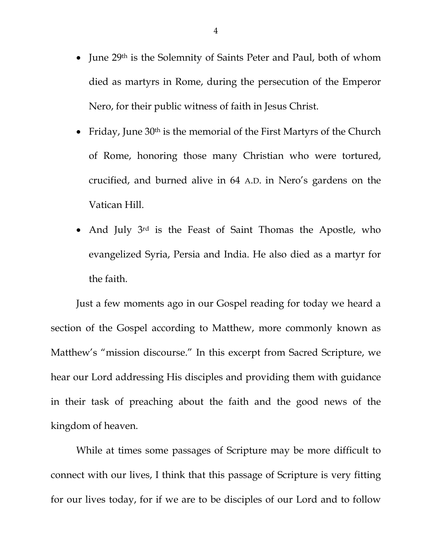- June 29<sup>th</sup> is the Solemnity of Saints Peter and Paul, both of whom died as martyrs in Rome, during the persecution of the Emperor Nero, for their public witness of faith in Jesus Christ.
- Friday, June 30<sup>th</sup> is the memorial of the First Martyrs of the Church of Rome, honoring those many Christian who were tortured, crucified, and burned alive in 64 A.D. in Nero's gardens on the Vatican Hill.
- And July 3<sup>rd</sup> is the Feast of Saint Thomas the Apostle, who evangelized Syria, Persia and India. He also died as a martyr for the faith.

Just a few moments ago in our Gospel reading for today we heard a section of the Gospel according to Matthew, more commonly known as Matthew's "mission discourse." In this excerpt from Sacred Scripture, we hear our Lord addressing His disciples and providing them with guidance in their task of preaching about the faith and the good news of the kingdom of heaven.

While at times some passages of Scripture may be more difficult to connect with our lives, I think that this passage of Scripture is very fitting for our lives today, for if we are to be disciples of our Lord and to follow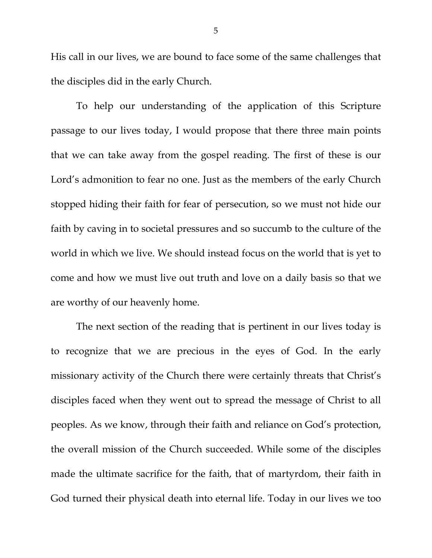His call in our lives, we are bound to face some of the same challenges that the disciples did in the early Church.

To help our understanding of the application of this Scripture passage to our lives today, I would propose that there three main points that we can take away from the gospel reading. The first of these is our Lord's admonition to fear no one. Just as the members of the early Church stopped hiding their faith for fear of persecution, so we must not hide our faith by caving in to societal pressures and so succumb to the culture of the world in which we live. We should instead focus on the world that is yet to come and how we must live out truth and love on a daily basis so that we are worthy of our heavenly home.

The next section of the reading that is pertinent in our lives today is to recognize that we are precious in the eyes of God. In the early missionary activity of the Church there were certainly threats that Christ's disciples faced when they went out to spread the message of Christ to all peoples. As we know, through their faith and reliance on God's protection, the overall mission of the Church succeeded. While some of the disciples made the ultimate sacrifice for the faith, that of martyrdom, their faith in God turned their physical death into eternal life. Today in our lives we too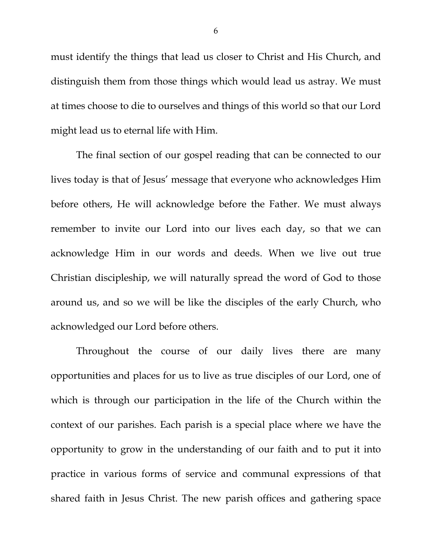must identify the things that lead us closer to Christ and His Church, and distinguish them from those things which would lead us astray. We must at times choose to die to ourselves and things of this world so that our Lord might lead us to eternal life with Him.

The final section of our gospel reading that can be connected to our lives today is that of Jesus' message that everyone who acknowledges Him before others, He will acknowledge before the Father. We must always remember to invite our Lord into our lives each day, so that we can acknowledge Him in our words and deeds. When we live out true Christian discipleship, we will naturally spread the word of God to those around us, and so we will be like the disciples of the early Church, who acknowledged our Lord before others.

Throughout the course of our daily lives there are many opportunities and places for us to live as true disciples of our Lord, one of which is through our participation in the life of the Church within the context of our parishes. Each parish is a special place where we have the opportunity to grow in the understanding of our faith and to put it into practice in various forms of service and communal expressions of that shared faith in Jesus Christ. The new parish offices and gathering space

6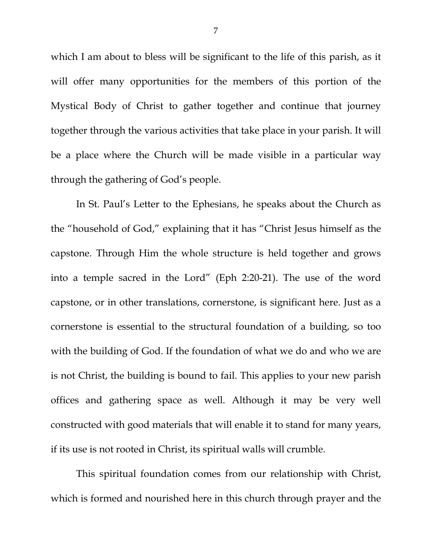which I am about to bless will be significant to the life of this parish, as it will offer many opportunities for the members of this portion of the Mystical Body of Christ to gather together and continue that journey together through the various activities that take place in your parish. It will be a place where the Church will be made visible in a particular way through the gathering of God's people.

In St. Paul's Letter to the Ephesians, he speaks about the Church as the "household of God," explaining that it has "Christ Jesus himself as the capstone. Through Him the whole structure is held together and grows into a temple sacred in the Lord" (Eph 2:20-21). The use of the word capstone, or in other translations, cornerstone, is significant here. Just as a cornerstone is essential to the structural foundation of a building, so too with the building of God. If the foundation of what we do and who we are is not Christ, the building is bound to fail. This applies to your new parish offices and gathering space as well. Although it may be very well constructed with good materials that will enable it to stand for many years, if its use is not rooted in Christ, its spiritual walls will crumble.

This spiritual foundation comes from our relationship with Christ, which is formed and nourished here in this church through prayer and the